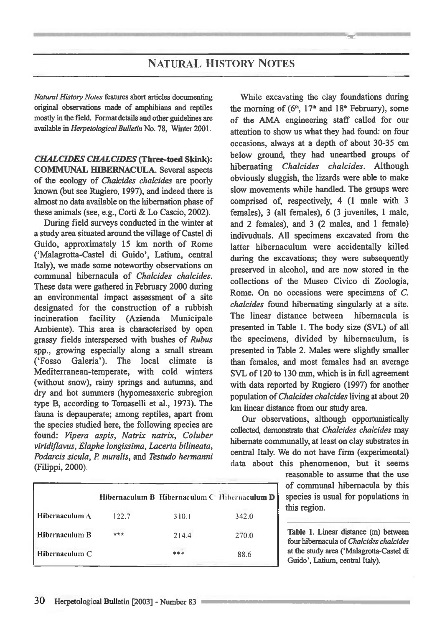## **NATURAL HISTORY NOTES**

*Natural History Notes* **features short articles documenting original observations made of amphibians and reptiles mostly in the field. Format details and other guidelines are available in** *Herpetological Bulletin* **No. 78, Wmter 2001.** 

*CHALCIDES CHALCIDES* **(Three-toed Skink): COMMUNAL HIBERNACULA. Several aspects of the ecology of** *Chalcides chakides* **are poorly known (but see Rugiero, 1997), and indeed there is almost no data available on the hibernation phase of these animals (see, e.g., Corti & Lo Cascio, 2002).** 

**During field surveys conducted in the winter at a study area situated around the village of Castel di Guido, approximately 15 km north of Rome (`Malagrotta-Castel di Guido', Latium, central Italy), we made some noteworthy observations on communal hibemacula of** *Chalcides chalcides.*  **These data were gathered in February 2000 during an environmental impact assessment of a site designated** for **the construction of a rubbish incineration facility (Azienda Municipale Ambiente). This area is characterised by open grassy fields interspersed with bushes of** *Rubus*  **spp., growing especially along a small stream (`Fosso Galeria'). The local climate is Mediterranean-temperate, with cold winters (without snow), rainy springs and autumns, and dry and hot summers (hypomesaxeric subregion type B, according to Tomaselli et al., 1973). The fauna is depauperate; among reptiles, apart from the species studied here, the following species are found:** *Vipera aspis, Natrix natrix, Coluber viridiflavus, Elaphe longissima, Lacerta bilineata, Podarcis sicula, P muralis,* **and** *Testudo hermanni*  **(Filippi, 2000).** 

**While excavating the clay foundations during**  the morning of  $(6<sup>th</sup>, 17<sup>th</sup>$  and  $18<sup>th</sup>$  February), some **of the AMA engineering staff called for our attention to show us what they had found: on four occasions, always at a depth of about 30-35 cm below ground, they had unearthed groups of hibernating** *Chalcides chalcides.* **Although obviously sluggish, the lizards were able to make slow movements while handled. The groups were comprised of, respectively, 4 (1 male with 3 females), 3 (all females), 6 (3 juveniles, 1 male, and 2 females), and 3 (2 males, and 1 female) indivuduals. All specimens excavated from the latter hibemaculum were accidentally killed during the excavations; they were subsequently preserved in alcohol, and are now stored in the collections of the Museo Civico di Zoologia, Rome. On no occasions were specimens of C.**  *chalcides* **found hibernating singularly at a site. The linear distance between hibemacula is presented in Table 1. The body size (SVL) of all the specimens, divided by hibemaculum, is presented in Table 2. Males were slightly smaller than females, and most females had an average SVL of 120 to 130 mm, which is in full agreement with data reported by Rugiero (1997) for another population of** *Chalcides chalcides* **living at about 20 km linear distance from our study area.** 

**Our observations, although opportunistically collected, demonstrate that** *Chalcides chakides* **may hibernate communally, at least on clay substrates in central Italy. We do not have firm (experimental) data about this phenomenon, but it seems** 

> **reasonable to assume that the use of communal hibemacula by this species is usual for populations in this region.**

Table 1. **Linear distance (m) between four hibemacula of** *Chalcides chalcides*  **at the study area (`Malagrotta-Castel di Guido', Latium, central Italy).** 

|                 |       | <b>Hibernaculum B Hibernaculum C Hibernaculum D</b> |       |
|-----------------|-------|-----------------------------------------------------|-------|
| Hibernaculum A  | 122.7 | 310.1                                               | 342.0 |
| Hibernaculum B  | ***   | 214.4                                               | 270.0 |
| Hibernaculum C. |       | ***                                                 | 88.6  |